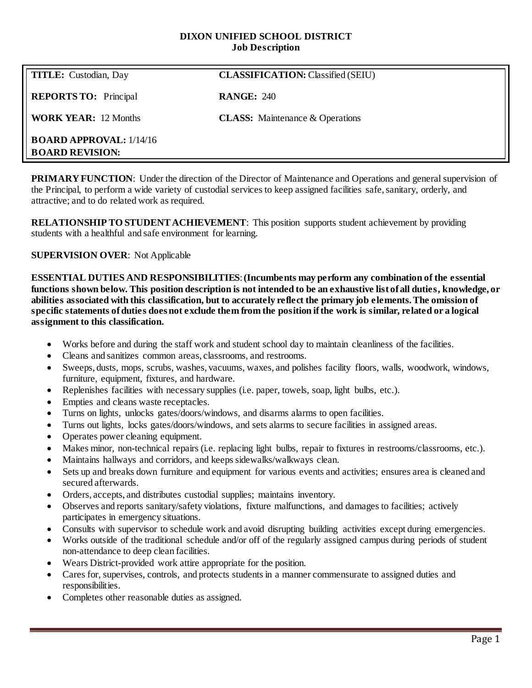#### **DIXON UNIFIED SCHOOL DISTRICT Job Description**

| <b>TITLE:</b> Custodian, Day                               | <b>CLASSIFICATION: Classified (SEIU)</b> |
|------------------------------------------------------------|------------------------------------------|
| <b>REPORTS TO:</b> Principal                               | <b>RANGE: 240</b>                        |
| <b>WORK YEAR:</b> 12 Months                                | <b>CLASS:</b> Maintenance & Operations   |
| <b>BOARD APPROVAL:</b> $1/14/16$<br><b>BOARD REVISION:</b> |                                          |

**PRIMARY FUNCTION:** Under the direction of the Director of Maintenance and Operations and general supervision of the Principal, to perform a wide variety of custodial services to keep assigned facilities safe, sanitary, orderly, and attractive; and to do related work as required.

**RELATIONSHIP TO STUDENT ACHIEVEMENT**: This position supports student achievement by providing students with a healthful and safe environment for learning.

# **SUPERVISION OVER**: Not Applicable

**ESSENTIAL DUTIES AND RESPONSIBILITIES**: **(Incumbents may perform any combination of the essential functions shown below. This position description is not intended to be an exhaustive list of all duties, knowledge, or abilities associated with this classification, but to accurately reflect the primary job elements.The omission of specific statements of duties does not exclude them from the position if the work is similar, related or a logical assignment to this classification.**

- Works before and during the staff work and student school day to maintain cleanliness of the facilities.
- Cleans and sanitizes common areas, classrooms, and restrooms.
- Sweeps, dusts, mops, scrubs, washes, vacuums, waxes, and polishes facility floors, walls, woodwork, windows, furniture, equipment, fixtures, and hardware.
- Replenishes facilities with necessary supplies (i.e. paper, towels, soap, light bulbs, etc.).
- Empties and cleans waste receptacles.
- Turns on lights, unlocks gates/doors/windows, and disarms alarms to open facilities.
- Turns out lights, locks gates/doors/windows, and sets alarms to secure facilities in assigned areas.
- Operates power cleaning equipment.
- Makes minor, non-technical repairs (i.e. replacing light bulbs, repair to fixtures in restrooms/classrooms, etc.).
- Maintains hallways and corridors, and keeps sidewalks/walkways clean.
- Sets up and breaks down furniture and equipment for various events and activities; ensures area is cleaned and secured afterwards.
- Orders, accepts, and distributes custodial supplies; maintains inventory.
- Observes and reports sanitary/safety violations, fixture malfunctions, and damages to facilities; actively participates in emergency situations.
- Consults with supervisor to schedule work and avoid disrupting building activities except during emergencies.
- Works outside of the traditional schedule and/or off of the regularly assigned campus during periods of student non-attendance to deep clean facilities.
- Wears District-provided work attire appropriate for the position.
- Cares for, supervises, controls, and protects students in a manner commensurate to assigned duties and responsibilities.
- Completes other reasonable duties as assigned.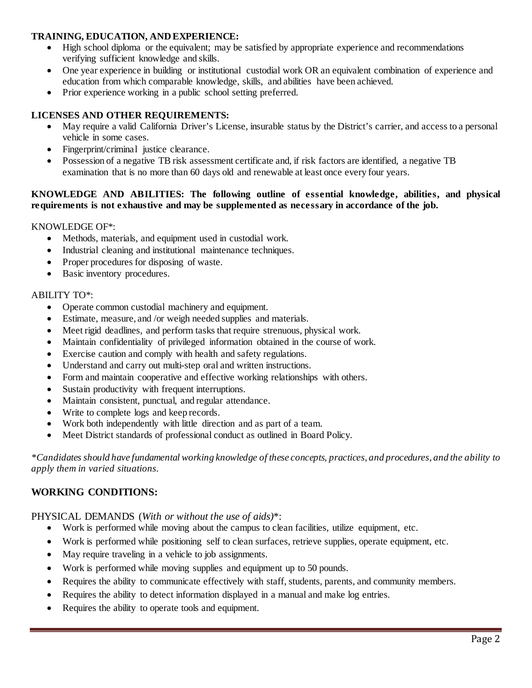## **TRAINING, EDUCATION, AND EXPERIENCE:**

- High school diploma or the equivalent; may be satisfied by appropriate experience and recommendations verifying sufficient knowledge and skills.
- One year experience in building or institutional custodial work OR an equivalent combination of experience and education from which comparable knowledge, skills, and abilities have been achieved.
- Prior experience working in a public school setting preferred.

# **LICENSES AND OTHER REQUIREMENTS:**

- May require a valid California Driver's License, insurable status by the District's carrier, and access to a personal vehicle in some cases.
- Fingerprint/criminal justice clearance.
- Possession of a negative TB risk assessment certificate and, if risk factors are identified, a negative TB examination that is no more than 60 days old and renewable at least once every four years.

## **KNOWLEDGE AND ABILITIES: The following outline of essential knowledge, abilities, and physical requirements is not exhaustive and may be supplemented as necessary in accordance of the job.**

## KNOWLEDGE OF\*:

- Methods, materials, and equipment used in custodial work.
- Industrial cleaning and institutional maintenance techniques.
- Proper procedures for disposing of waste.
- Basic inventory procedures.

#### ABILITY TO\*:

- Operate common custodial machinery and equipment.
- Estimate, measure, and /or weigh needed supplies and materials.
- Meet rigid deadlines, and perform tasks that require strenuous, physical work.
- Maintain confidentiality of privileged information obtained in the course of work.
- Exercise caution and comply with health and safety regulations.
- Understand and carry out multi-step oral and written instructions.
- Form and maintain cooperative and effective working relationships with others.
- Sustain productivity with frequent interruptions.
- Maintain consistent, punctual, and regular attendance.
- Write to complete logs and keep records.
- Work both independently with little direction and as part of a team.
- Meet District standards of professional conduct as outlined in Board Policy.

*\*Candidates should have fundamental working knowledge of these concepts, practices, and procedures, and the ability to apply them in varied situations.*

# **WORKING CONDITIONS:**

# PHYSICAL DEMANDS (*With or without the use of aids)*\*:

- Work is performed while moving about the campus to clean facilities, utilize equipment, etc.
- Work is performed while positioning self to clean surfaces, retrieve supplies, operate equipment, etc.
- May require traveling in a vehicle to job assignments.
- Work is performed while moving supplies and equipment up to 50 pounds.
- Requires the ability to communicate effectively with staff, students, parents, and community members.
- Requires the ability to detect information displayed in a manual and make log entries.
- Requires the ability to operate tools and equipment.